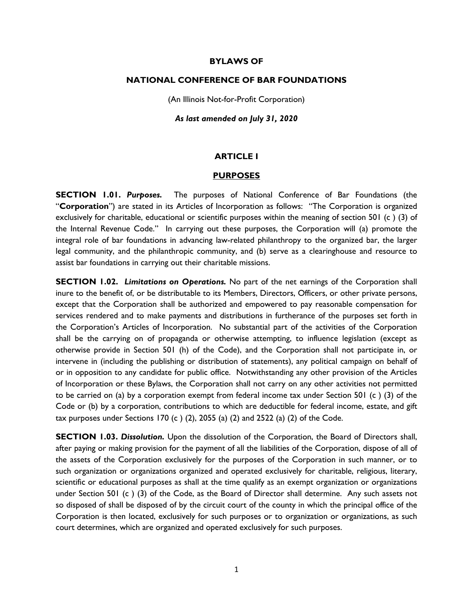#### **BYLAWS OF**

#### **NATIONAL CONFERENCE OF BAR FOUNDATIONS**

(An Illinois Not-for-Profit Corporation)

*As last amended on July 31, 2020*

#### **ARTICLE I**

#### **PURPOSES**

**SECTION 1.01.** *Purposes.* The purposes of National Conference of Bar Foundations (the "**Corporation**") are stated in its Articles of Incorporation as follows: "The Corporation is organized exclusively for charitable, educational or scientific purposes within the meaning of section 501 (c ) (3) of the Internal Revenue Code." In carrying out these purposes, the Corporation will (a) promote the integral role of bar foundations in advancing law-related philanthropy to the organized bar, the larger legal community, and the philanthropic community, and (b) serve as a clearinghouse and resource to assist bar foundations in carrying out their charitable missions.

**SECTION 1.02.** *Limitations on Operations.* No part of the net earnings of the Corporation shall inure to the benefit of, or be distributable to its Members, Directors, Officers, or other private persons, except that the Corporation shall be authorized and empowered to pay reasonable compensation for services rendered and to make payments and distributions in furtherance of the purposes set forth in the Corporation's Articles of Incorporation. No substantial part of the activities of the Corporation shall be the carrying on of propaganda or otherwise attempting, to influence legislation (except as otherwise provide in Section 501 (h) of the Code), and the Corporation shall not participate in, or intervene in (including the publishing or distribution of statements), any political campaign on behalf of or in opposition to any candidate for public office. Notwithstanding any other provision of the Articles of Incorporation or these Bylaws, the Corporation shall not carry on any other activities not permitted to be carried on (a) by a corporation exempt from federal income tax under Section 501 (c ) (3) of the Code or (b) by a corporation, contributions to which are deductible for federal income, estate, and gift tax purposes under Sections 170 (c)  $(2)$ , 2055  $(a)$   $(2)$  and 2522  $(a)$   $(2)$  of the Code.

**SECTION 1.03.** *Dissolution.* Upon the dissolution of the Corporation, the Board of Directors shall, after paying or making provision for the payment of all the liabilities of the Corporation, dispose of all of the assets of the Corporation exclusively for the purposes of the Corporation in such manner, or to such organization or organizations organized and operated exclusively for charitable, religious, literary, scientific or educational purposes as shall at the time qualify as an exempt organization or organizations under Section 501 (c ) (3) of the Code, as the Board of Director shall determine. Any such assets not so disposed of shall be disposed of by the circuit court of the county in which the principal office of the Corporation is then located, exclusively for such purposes or to organization or organizations, as such court determines, which are organized and operated exclusively for such purposes.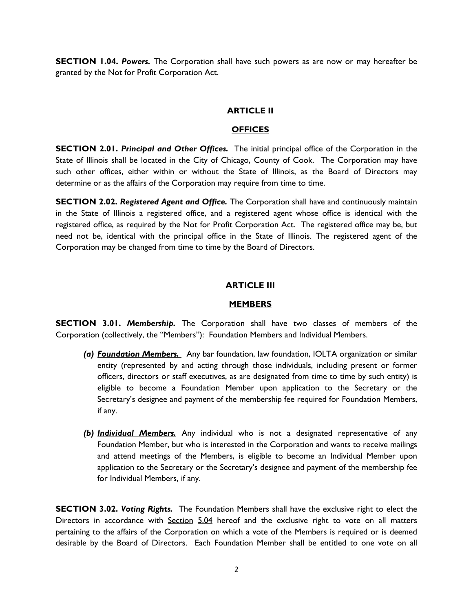**SECTION 1.04. Powers.** The Corporation shall have such powers as are now or may hereafter be granted by the Not for Profit Corporation Act.

#### **ARTICLE II**

#### **OFFICES**

**SECTION 2.01.** *Principal and Other Offices.* The initial principal office of the Corporation in the State of Illinois shall be located in the City of Chicago, County of Cook. The Corporation may have such other offices, either within or without the State of Illinois, as the Board of Directors may determine or as the affairs of the Corporation may require from time to time.

**SECTION 2.02.** *Registered Agent and Office.* The Corporation shall have and continuously maintain in the State of Illinois a registered office, and a registered agent whose office is identical with the registered office, as required by the Not for Profit Corporation Act. The registered office may be, but need not be, identical with the principal office in the State of Illinois. The registered agent of the Corporation may be changed from time to time by the Board of Directors.

#### **ARTICLE III**

#### **MEMBERS**

**SECTION 3.01.** *Membership.* The Corporation shall have two classes of members of the Corporation (collectively, the "Members"): Foundation Members and Individual Members.

- *(a) Foundation Members.* Any bar foundation, law foundation, IOLTA organization or similar entity (represented by and acting through those individuals, including present or former officers, directors or staff executives, as are designated from time to time by such entity) is eligible to become a Foundation Member upon application to the Secretary or the Secretary's designee and payment of the membership fee required for Foundation Members, if any.
- *(b) Individual Members.* Any individual who is not a designated representative of any Foundation Member, but who is interested in the Corporation and wants to receive mailings and attend meetings of the Members, is eligible to become an Individual Member upon application to the Secretary or the Secretary's designee and payment of the membership fee for Individual Members, if any.

**SECTION 3.02.** *Voting Rights.* The Foundation Members shall have the exclusive right to elect the Directors in accordance with Section 5.04 hereof and the exclusive right to vote on all matters pertaining to the affairs of the Corporation on which a vote of the Members is required or is deemed desirable by the Board of Directors. Each Foundation Member shall be entitled to one vote on all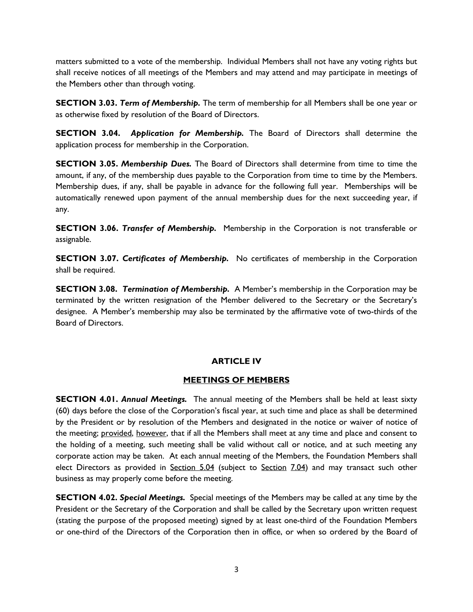matters submitted to a vote of the membership. Individual Members shall not have any voting rights but shall receive notices of all meetings of the Members and may attend and may participate in meetings of the Members other than through voting.

**SECTION 3.03.** *Term of Membership.* The term of membership for all Members shall be one year or as otherwise fixed by resolution of the Board of Directors.

**SECTION 3.04.** *Application for Membership.* The Board of Directors shall determine the application process for membership in the Corporation.

**SECTION 3.05.** *Membership Dues.* The Board of Directors shall determine from time to time the amount, if any, of the membership dues payable to the Corporation from time to time by the Members. Membership dues, if any, shall be payable in advance for the following full year. Memberships will be automatically renewed upon payment of the annual membership dues for the next succeeding year, if any.

**SECTION 3.06.** *Transfer of Membership***.** Membership in the Corporation is not transferable or assignable.

**SECTION 3.07.** *Certificates of Membership.* No certificates of membership in the Corporation shall be required.

**SECTION 3.08.** *Termination of Membership.* A Member's membership in the Corporation may be terminated by the written resignation of the Member delivered to the Secretary or the Secretary's designee. A Member's membership may also be terminated by the affirmative vote of two-thirds of the Board of Directors.

# **ARTICLE IV**

# **MEETINGS OF MEMBERS**

**SECTION 4.01.** *Annual Meetings.* The annual meeting of the Members shall be held at least sixty (60) days before the close of the Corporation's fiscal year, at such time and place as shall be determined by the President or by resolution of the Members and designated in the notice or waiver of notice of the meeting; provided, however, that if all the Members shall meet at any time and place and consent to the holding of a meeting, such meeting shall be valid without call or notice, and at such meeting any corporate action may be taken. At each annual meeting of the Members, the Foundation Members shall elect Directors as provided in Section 5.04 (subject to Section 7.04) and may transact such other business as may properly come before the meeting.

**SECTION 4.02.** *Special Meetings.* Special meetings of the Members may be called at any time by the President or the Secretary of the Corporation and shall be called by the Secretary upon written request (stating the purpose of the proposed meeting) signed by at least one-third of the Foundation Members or one-third of the Directors of the Corporation then in office, or when so ordered by the Board of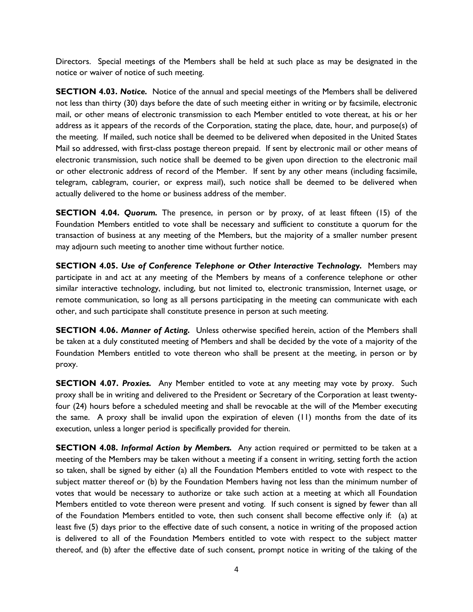Directors. Special meetings of the Members shall be held at such place as may be designated in the notice or waiver of notice of such meeting.

**SECTION 4.03.** *Notice.* Notice of the annual and special meetings of the Members shall be delivered not less than thirty (30) days before the date of such meeting either in writing or by facsimile, electronic mail, or other means of electronic transmission to each Member entitled to vote thereat, at his or her address as it appears of the records of the Corporation, stating the place, date, hour, and purpose(s) of the meeting. If mailed, such notice shall be deemed to be delivered when deposited in the United States Mail so addressed, with first-class postage thereon prepaid. If sent by electronic mail or other means of electronic transmission, such notice shall be deemed to be given upon direction to the electronic mail or other electronic address of record of the Member. If sent by any other means (including facsimile, telegram, cablegram, courier, or express mail), such notice shall be deemed to be delivered when actually delivered to the home or business address of the member.

**SECTION 4.04.** *Quorum*. The presence, in person or by proxy, of at least fifteen (15) of the Foundation Members entitled to vote shall be necessary and sufficient to constitute a quorum for the transaction of business at any meeting of the Members, but the majority of a smaller number present may adjourn such meeting to another time without further notice.

**SECTION 4.05.** *Use of Conference Telephone or Other Interactive Technology.* Members may participate in and act at any meeting of the Members by means of a conference telephone or other similar interactive technology, including, but not limited to, electronic transmission, Internet usage, or remote communication, so long as all persons participating in the meeting can communicate with each other, and such participate shall constitute presence in person at such meeting.

**SECTION 4.06.** *Manner of Acting.* Unless otherwise specified herein, action of the Members shall be taken at a duly constituted meeting of Members and shall be decided by the vote of a majority of the Foundation Members entitled to vote thereon who shall be present at the meeting, in person or by proxy.

**SECTION 4.07.** *Proxies.* Any Member entitled to vote at any meeting may vote by proxy. Such proxy shall be in writing and delivered to the President or Secretary of the Corporation at least twentyfour (24) hours before a scheduled meeting and shall be revocable at the will of the Member executing the same. A proxy shall be invalid upon the expiration of eleven (11) months from the date of its execution, unless a longer period is specifically provided for therein.

**SECTION 4.08.** *Informal Action by Members.* Any action required or permitted to be taken at a meeting of the Members may be taken without a meeting if a consent in writing, setting forth the action so taken, shall be signed by either (a) all the Foundation Members entitled to vote with respect to the subject matter thereof or (b) by the Foundation Members having not less than the minimum number of votes that would be necessary to authorize or take such action at a meeting at which all Foundation Members entitled to vote thereon were present and voting. If such consent is signed by fewer than all of the Foundation Members entitled to vote, then such consent shall become effective only if: (a) at least five (5) days prior to the effective date of such consent, a notice in writing of the proposed action is delivered to all of the Foundation Members entitled to vote with respect to the subject matter thereof, and (b) after the effective date of such consent, prompt notice in writing of the taking of the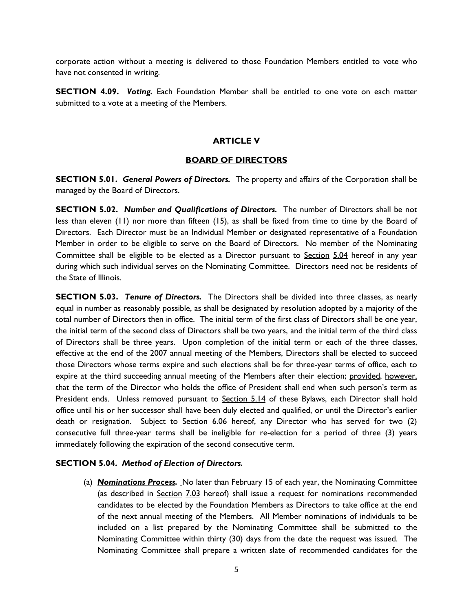corporate action without a meeting is delivered to those Foundation Members entitled to vote who have not consented in writing.

**SECTION 4.09.** *Voting.* Each Foundation Member shall be entitled to one vote on each matter submitted to a vote at a meeting of the Members.

## **ARTICLE V**

#### **BOARD OF DIRECTORS**

**SECTION 5.01.** *General Powers of Directors.* The property and affairs of the Corporation shall be managed by the Board of Directors.

**SECTION 5.02.** *Number and Qualifications of Directors.* The number of Directors shall be not less than eleven (11) nor more than fifteen (15), as shall be fixed from time to time by the Board of Directors. Each Director must be an Individual Member or designated representative of a Foundation Member in order to be eligible to serve on the Board of Directors. No member of the Nominating Committee shall be eligible to be elected as a Director pursuant to Section 5.04 hereof in any year during which such individual serves on the Nominating Committee. Directors need not be residents of the State of Illinois.

**SECTION 5.03.** *Tenure of Directors.* The Directors shall be divided into three classes, as nearly equal in number as reasonably possible, as shall be designated by resolution adopted by a majority of the total number of Directors then in office. The initial term of the first class of Directors shall be one year, the initial term of the second class of Directors shall be two years, and the initial term of the third class of Directors shall be three years. Upon completion of the initial term or each of the three classes, effective at the end of the 2007 annual meeting of the Members, Directors shall be elected to succeed those Directors whose terms expire and such elections shall be for three-year terms of office, each to expire at the third succeeding annual meeting of the Members after their election; provided, however, that the term of the Director who holds the office of President shall end when such person's term as President ends. Unless removed pursuant to Section 5.14 of these Bylaws, each Director shall hold office until his or her successor shall have been duly elected and qualified, or until the Director's earlier death or resignation. Subject to Section 6.06 hereof, any Director who has served for two (2) consecutive full three-year terms shall be ineligible for re-election for a period of three (3) years immediately following the expiration of the second consecutive term.

#### **SECTION 5.04.** *Method of Election of Directors.*

(a) *Nominations Process.* No later than February 15 of each year, the Nominating Committee (as described in Section 7.03 hereof) shall issue a request for nominations recommended candidates to be elected by the Foundation Members as Directors to take office at the end of the next annual meeting of the Members. All Member nominations of individuals to be included on a list prepared by the Nominating Committee shall be submitted to the Nominating Committee within thirty (30) days from the date the request was issued. The Nominating Committee shall prepare a written slate of recommended candidates for the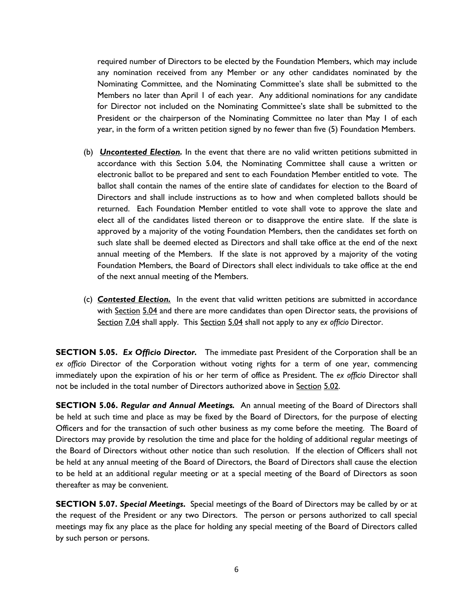required number of Directors to be elected by the Foundation Members, which may include any nomination received from any Member or any other candidates nominated by the Nominating Committee, and the Nominating Committee's slate shall be submitted to the Members no later than April 1 of each year. Any additional nominations for any candidate for Director not included on the Nominating Committee's slate shall be submitted to the President or the chairperson of the Nominating Committee no later than May 1 of each year, in the form of a written petition signed by no fewer than five (5) Foundation Members.

- (b) *Uncontested Election.* In the event that there are no valid written petitions submitted in accordance with this Section 5.04, the Nominating Committee shall cause a written or electronic ballot to be prepared and sent to each Foundation Member entitled to vote. The ballot shall contain the names of the entire slate of candidates for election to the Board of Directors and shall include instructions as to how and when completed ballots should be returned. Each Foundation Member entitled to vote shall vote to approve the slate and elect all of the candidates listed thereon or to disapprove the entire slate. If the slate is approved by a majority of the voting Foundation Members, then the candidates set forth on such slate shall be deemed elected as Directors and shall take office at the end of the next annual meeting of the Members. If the slate is not approved by a majority of the voting Foundation Members, the Board of Directors shall elect individuals to take office at the end of the next annual meeting of the Members.
- (c) *Contested Election.* In the event that valid written petitions are submitted in accordance with Section 5.04 and there are more candidates than open Director seats, the provisions of Section 7.04 shall apply. This Section 5.04 shall not apply to any *ex officio* Director.

**SECTION 5.05.** *Ex Officio Director.* The immediate past President of the Corporation shall be an *ex officio* Director of the Corporation without voting rights for a term of one year, commencing immediately upon the expiration of his or her term of office as President. The *ex officio* Director shall not be included in the total number of Directors authorized above in Section 5.02.

**SECTION 5.06.** *Regular and Annual Meetings.* An annual meeting of the Board of Directors shall be held at such time and place as may be fixed by the Board of Directors, for the purpose of electing Officers and for the transaction of such other business as my come before the meeting. The Board of Directors may provide by resolution the time and place for the holding of additional regular meetings of the Board of Directors without other notice than such resolution. If the election of Officers shall not be held at any annual meeting of the Board of Directors, the Board of Directors shall cause the election to be held at an additional regular meeting or at a special meeting of the Board of Directors as soon thereafter as may be convenient.

**SECTION 5.07.** *Special Meetings***.** Special meetings of the Board of Directors may be called by or at the request of the President or any two Directors. The person or persons authorized to call special meetings may fix any place as the place for holding any special meeting of the Board of Directors called by such person or persons.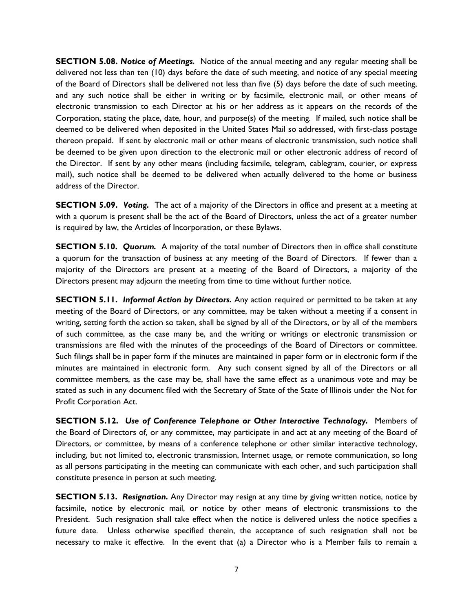**SECTION 5.08.** *Notice of Meetings.* Notice of the annual meeting and any regular meeting shall be delivered not less than ten (10) days before the date of such meeting, and notice of any special meeting of the Board of Directors shall be delivered not less than five (5) days before the date of such meeting, and any such notice shall be either in writing or by facsimile, electronic mail, or other means of electronic transmission to each Director at his or her address as it appears on the records of the Corporation, stating the place, date, hour, and purpose(s) of the meeting. If mailed, such notice shall be deemed to be delivered when deposited in the United States Mail so addressed, with first-class postage thereon prepaid. If sent by electronic mail or other means of electronic transmission, such notice shall be deemed to be given upon direction to the electronic mail or other electronic address of record of the Director. If sent by any other means (including facsimile, telegram, cablegram, courier, or express mail), such notice shall be deemed to be delivered when actually delivered to the home or business address of the Director.

**SECTION 5.09.** *Voting.* The act of a majority of the Directors in office and present at a meeting at with a quorum is present shall be the act of the Board of Directors, unless the act of a greater number is required by law, the Articles of Incorporation, or these Bylaws.

**SECTION 5.10.** *Quorum.* A majority of the total number of Directors then in office shall constitute a quorum for the transaction of business at any meeting of the Board of Directors. If fewer than a majority of the Directors are present at a meeting of the Board of Directors, a majority of the Directors present may adjourn the meeting from time to time without further notice.

**SECTION 5.11.** *Informal Action by Directors.* Any action required or permitted to be taken at any meeting of the Board of Directors, or any committee, may be taken without a meeting if a consent in writing, setting forth the action so taken, shall be signed by all of the Directors, or by all of the members of such committee, as the case many be, and the writing or writings or electronic transmission or transmissions are filed with the minutes of the proceedings of the Board of Directors or committee. Such filings shall be in paper form if the minutes are maintained in paper form or in electronic form if the minutes are maintained in electronic form. Any such consent signed by all of the Directors or all committee members, as the case may be, shall have the same effect as a unanimous vote and may be stated as such in any document filed with the Secretary of State of the State of Illinois under the Not for Profit Corporation Act.

**SECTION 5.12.** *Use of Conference Telephone or Other Interactive Technology.* Members of the Board of Directors of, or any committee, may participate in and act at any meeting of the Board of Directors, or committee, by means of a conference telephone or other similar interactive technology, including, but not limited to, electronic transmission, Internet usage, or remote communication, so long as all persons participating in the meeting can communicate with each other, and such participation shall constitute presence in person at such meeting.

**SECTION 5.13.** *Resignation.* Any Director may resign at any time by giving written notice, notice by facsimile, notice by electronic mail, or notice by other means of electronic transmissions to the President. Such resignation shall take effect when the notice is delivered unless the notice specifies a future date. Unless otherwise specified therein, the acceptance of such resignation shall not be necessary to make it effective. In the event that (a) a Director who is a Member fails to remain a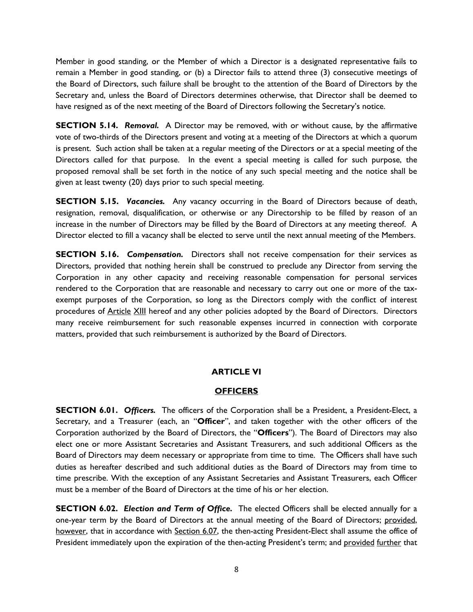Member in good standing, or the Member of which a Director is a designated representative fails to remain a Member in good standing, or (b) a Director fails to attend three (3) consecutive meetings of the Board of Directors, such failure shall be brought to the attention of the Board of Directors by the Secretary and, unless the Board of Directors determines otherwise, that Director shall be deemed to have resigned as of the next meeting of the Board of Directors following the Secretary's notice.

**SECTION 5.14.** *Removal.* A Director may be removed, with or without cause, by the affirmative vote of two-thirds of the Directors present and voting at a meeting of the Directors at which a quorum is present. Such action shall be taken at a regular meeting of the Directors or at a special meeting of the Directors called for that purpose. In the event a special meeting is called for such purpose, the proposed removal shall be set forth in the notice of any such special meeting and the notice shall be given at least twenty (20) days prior to such special meeting.

**SECTION 5.15.** *Vacancies.* Any vacancy occurring in the Board of Directors because of death, resignation, removal, disqualification, or otherwise or any Directorship to be filled by reason of an increase in the number of Directors may be filled by the Board of Directors at any meeting thereof. A Director elected to fill a vacancy shall be elected to serve until the next annual meeting of the Members.

**SECTION 5.16.** *Compensation.* Directors shall not receive compensation for their services as Directors, provided that nothing herein shall be construed to preclude any Director from serving the Corporation in any other capacity and receiving reasonable compensation for personal services rendered to the Corporation that are reasonable and necessary to carry out one or more of the taxexempt purposes of the Corporation, so long as the Directors comply with the conflict of interest procedures of Article XIII hereof and any other policies adopted by the Board of Directors. Directors many receive reimbursement for such reasonable expenses incurred in connection with corporate matters, provided that such reimbursement is authorized by the Board of Directors.

# **ARTICLE VI**

## **OFFICERS**

**SECTION 6.01.** *Officers.* The officers of the Corporation shall be a President, a President-Elect, a Secretary, and a Treasurer (each, an "**Officer**", and taken together with the other officers of the Corporation authorized by the Board of Directors, the "**Officers**"). The Board of Directors may also elect one or more Assistant Secretaries and Assistant Treasurers, and such additional Officers as the Board of Directors may deem necessary or appropriate from time to time. The Officers shall have such duties as hereafter described and such additional duties as the Board of Directors may from time to time prescribe. With the exception of any Assistant Secretaries and Assistant Treasurers, each Officer must be a member of the Board of Directors at the time of his or her election.

**SECTION 6.02.** *Election and Term of Office.* The elected Officers shall be elected annually for a one-year term by the Board of Directors at the annual meeting of the Board of Directors; provided, however, that in accordance with Section 6.07, the then-acting President-Elect shall assume the office of President immediately upon the expiration of the then-acting President's term; and provided further that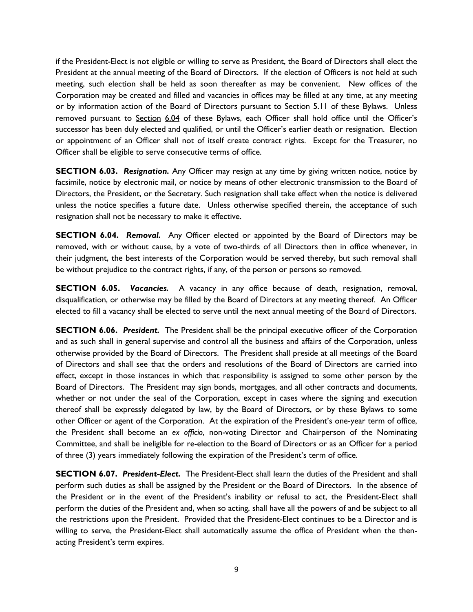if the President-Elect is not eligible or willing to serve as President, the Board of Directors shall elect the President at the annual meeting of the Board of Directors. If the election of Officers is not held at such meeting, such election shall be held as soon thereafter as may be convenient. New offices of the Corporation may be created and filled and vacancies in offices may be filled at any time, at any meeting or by information action of the Board of Directors pursuant to Section 5.11 of these Bylaws. Unless removed pursuant to Section 6.04 of these Bylaws, each Officer shall hold office until the Officer's successor has been duly elected and qualified, or until the Officer's earlier death or resignation. Election or appointment of an Officer shall not of itself create contract rights. Except for the Treasurer, no Officer shall be eligible to serve consecutive terms of office.

**SECTION 6.03.** *Resignation.* Any Officer may resign at any time by giving written notice, notice by facsimile, notice by electronic mail, or notice by means of other electronic transmission to the Board of Directors, the President, or the Secretary. Such resignation shall take effect when the notice is delivered unless the notice specifies a future date. Unless otherwise specified therein, the acceptance of such resignation shall not be necessary to make it effective.

**SECTION 6.04.** *Removal.* Any Officer elected or appointed by the Board of Directors may be removed, with or without cause, by a vote of two-thirds of all Directors then in office whenever, in their judgment, the best interests of the Corporation would be served thereby, but such removal shall be without prejudice to the contract rights, if any, of the person or persons so removed.

**SECTION 6.05.** *Vacancies.* A vacancy in any office because of death, resignation, removal, disqualification, or otherwise may be filled by the Board of Directors at any meeting thereof. An Officer elected to fill a vacancy shall be elected to serve until the next annual meeting of the Board of Directors.

**SECTION 6.06.** *President.* The President shall be the principal executive officer of the Corporation and as such shall in general supervise and control all the business and affairs of the Corporation, unless otherwise provided by the Board of Directors. The President shall preside at all meetings of the Board of Directors and shall see that the orders and resolutions of the Board of Directors are carried into effect, except in those instances in which that responsibility is assigned to some other person by the Board of Directors. The President may sign bonds, mortgages, and all other contracts and documents, whether or not under the seal of the Corporation, except in cases where the signing and execution thereof shall be expressly delegated by law, by the Board of Directors, or by these Bylaws to some other Officer or agent of the Corporation. At the expiration of the President's one-year term of office, the President shall become an *ex officio*, non-voting Director and Chairperson of the Nominating Committee, and shall be ineligible for re-election to the Board of Directors or as an Officer for a period of three (3) years immediately following the expiration of the President's term of office.

**SECTION 6.07.** *President-Elect.* The President-Elect shall learn the duties of the President and shall perform such duties as shall be assigned by the President or the Board of Directors. In the absence of the President or in the event of the President's inability or refusal to act, the President-Elect shall perform the duties of the President and, when so acting, shall have all the powers of and be subject to all the restrictions upon the President. Provided that the President-Elect continues to be a Director and is willing to serve, the President-Elect shall automatically assume the office of President when the thenacting President's term expires.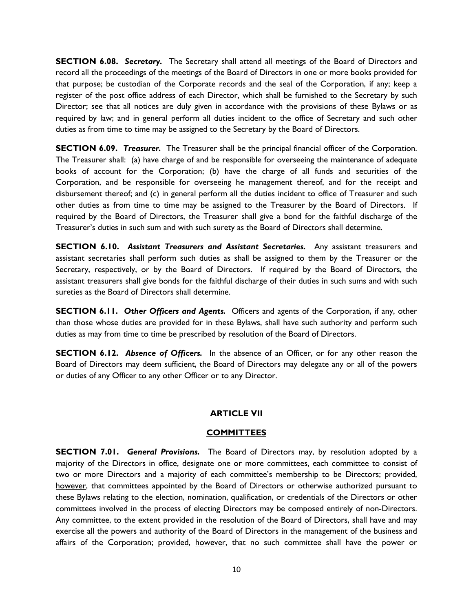**SECTION 6.08.** *Secretary.* The Secretary shall attend all meetings of the Board of Directors and record all the proceedings of the meetings of the Board of Directors in one or more books provided for that purpose; be custodian of the Corporate records and the seal of the Corporation, if any; keep a register of the post office address of each Director, which shall be furnished to the Secretary by such Director; see that all notices are duly given in accordance with the provisions of these Bylaws or as required by law; and in general perform all duties incident to the office of Secretary and such other duties as from time to time may be assigned to the Secretary by the Board of Directors.

**SECTION 6.09.** *Treasurer.* The Treasurer shall be the principal financial officer of the Corporation. The Treasurer shall: (a) have charge of and be responsible for overseeing the maintenance of adequate books of account for the Corporation; (b) have the charge of all funds and securities of the Corporation, and be responsible for overseeing he management thereof, and for the receipt and disbursement thereof; and (c) in general perform all the duties incident to office of Treasurer and such other duties as from time to time may be assigned to the Treasurer by the Board of Directors. If required by the Board of Directors, the Treasurer shall give a bond for the faithful discharge of the Treasurer's duties in such sum and with such surety as the Board of Directors shall determine.

**SECTION 6.10.** *Assistant Treasurers and Assistant Secretaries.* Any assistant treasurers and assistant secretaries shall perform such duties as shall be assigned to them by the Treasurer or the Secretary, respectively, or by the Board of Directors. If required by the Board of Directors, the assistant treasurers shall give bonds for the faithful discharge of their duties in such sums and with such sureties as the Board of Directors shall determine.

**SECTION 6.11.** *Other Officers and Agents.* Officers and agents of the Corporation, if any, other than those whose duties are provided for in these Bylaws, shall have such authority and perform such duties as may from time to time be prescribed by resolution of the Board of Directors.

**SECTION 6.12.** *Absence of Officers.* In the absence of an Officer, or for any other reason the Board of Directors may deem sufficient, the Board of Directors may delegate any or all of the powers or duties of any Officer to any other Officer or to any Director.

## **ARTICLE VII**

#### **COMMITTEES**

**SECTION 7.01.** *General Provisions.* The Board of Directors may, by resolution adopted by a majority of the Directors in office, designate one or more committees, each committee to consist of two or more Directors and a majority of each committee's membership to be Directors; provided, however, that committees appointed by the Board of Directors or otherwise authorized pursuant to these Bylaws relating to the election, nomination, qualification, or credentials of the Directors or other committees involved in the process of electing Directors may be composed entirely of non-Directors. Any committee, to the extent provided in the resolution of the Board of Directors, shall have and may exercise all the powers and authority of the Board of Directors in the management of the business and affairs of the Corporation; provided, however, that no such committee shall have the power or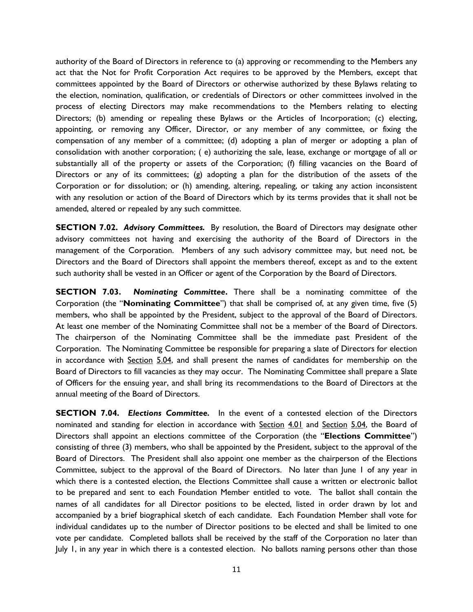authority of the Board of Directors in reference to (a) approving or recommending to the Members any act that the Not for Profit Corporation Act requires to be approved by the Members, except that committees appointed by the Board of Directors or otherwise authorized by these Bylaws relating to the election, nomination, qualification, or credentials of Directors or other committees involved in the process of electing Directors may make recommendations to the Members relating to electing Directors; (b) amending or repealing these Bylaws or the Articles of Incorporation; (c) electing, appointing, or removing any Officer, Director, or any member of any committee, or fixing the compensation of any member of a committee; (d) adopting a plan of merger or adopting a plan of consolidation with another corporation; ( e) authorizing the sale, lease, exchange or mortgage of all or substantially all of the property or assets of the Corporation; (f) filling vacancies on the Board of Directors or any of its committees; (g) adopting a plan for the distribution of the assets of the Corporation or for dissolution; or (h) amending, altering, repealing, or taking any action inconsistent with any resolution or action of the Board of Directors which by its terms provides that it shall not be amended, altered or repealed by any such committee.

**SECTION 7.02.** *Advisory Committees.* By resolution, the Board of Directors may designate other advisory committees not having and exercising the authority of the Board of Directors in the management of the Corporation. Members of any such advisory committee may, but need not, be Directors and the Board of Directors shall appoint the members thereof, except as and to the extent such authority shall be vested in an Officer or agent of the Corporation by the Board of Directors.

**SECTION 7.03.** *Nominating Committee***.** There shall be a nominating committee of the Corporation (the "**Nominating Committee**") that shall be comprised of, at any given time, five (5) members, who shall be appointed by the President, subject to the approval of the Board of Directors. At least one member of the Nominating Committee shall not be a member of the Board of Directors. The chairperson of the Nominating Committee shall be the immediate past President of the Corporation. The Nominating Committee be responsible for preparing a slate of Directors for election in accordance with Section 5.04, and shall present the names of candidates for membership on the Board of Directors to fill vacancies as they may occur. The Nominating Committee shall prepare a Slate of Officers for the ensuing year, and shall bring its recommendations to the Board of Directors at the annual meeting of the Board of Directors.

**SECTION 7.04.** *Elections Committee.* In the event of a contested election of the Directors nominated and standing for election in accordance with Section 4.01 and Section 5.04, the Board of Directors shall appoint an elections committee of the Corporation (the "**Elections Committee**") consisting of three (3) members, who shall be appointed by the President, subject to the approval of the Board of Directors. The President shall also appoint one member as the chairperson of the Elections Committee, subject to the approval of the Board of Directors. No later than June 1 of any year in which there is a contested election, the Elections Committee shall cause a written or electronic ballot to be prepared and sent to each Foundation Member entitled to vote. The ballot shall contain the names of all candidates for all Director positions to be elected, listed in order drawn by lot and accompanied by a brief biographical sketch of each candidate. Each Foundation Member shall vote for individual candidates up to the number of Director positions to be elected and shall be limited to one vote per candidate. Completed ballots shall be received by the staff of the Corporation no later than July 1, in any year in which there is a contested election. No ballots naming persons other than those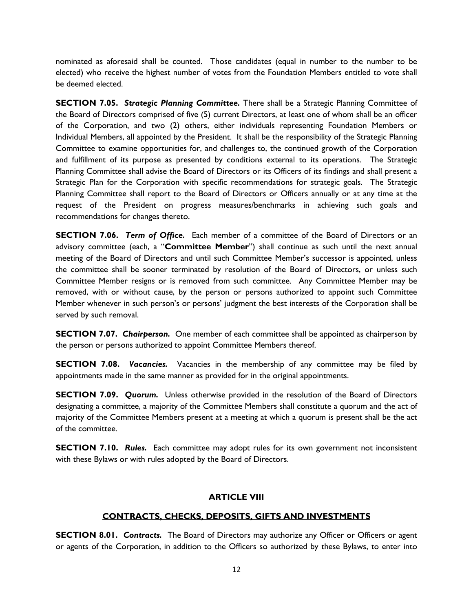nominated as aforesaid shall be counted. Those candidates (equal in number to the number to be elected) who receive the highest number of votes from the Foundation Members entitled to vote shall be deemed elected.

**SECTION 7.05.** *Strategic Planning Committee.* There shall be a Strategic Planning Committee of the Board of Directors comprised of five (5) current Directors, at least one of whom shall be an officer of the Corporation, and two (2) others, either individuals representing Foundation Members or Individual Members, all appointed by the President. It shall be the responsibility of the Strategic Planning Committee to examine opportunities for, and challenges to, the continued growth of the Corporation and fulfillment of its purpose as presented by conditions external to its operations. The Strategic Planning Committee shall advise the Board of Directors or its Officers of its findings and shall present a Strategic Plan for the Corporation with specific recommendations for strategic goals. The Strategic Planning Committee shall report to the Board of Directors or Officers annually or at any time at the request of the President on progress measures/benchmarks in achieving such goals and recommendations for changes thereto.

**SECTION 7.06.** *Term of Office.* Each member of a committee of the Board of Directors or an advisory committee (each, a "**Committee Member**") shall continue as such until the next annual meeting of the Board of Directors and until such Committee Member's successor is appointed, unless the committee shall be sooner terminated by resolution of the Board of Directors, or unless such Committee Member resigns or is removed from such committee. Any Committee Member may be removed, with or without cause, by the person or persons authorized to appoint such Committee Member whenever in such person's or persons' judgment the best interests of the Corporation shall be served by such removal.

**SECTION 7.07.** *Chairperson.* One member of each committee shall be appointed as chairperson by the person or persons authorized to appoint Committee Members thereof.

**SECTION 7.08.** *Vacancies.* Vacancies in the membership of any committee may be filed by appointments made in the same manner as provided for in the original appointments.

**SECTION 7.09.** *Quorum.* Unless otherwise provided in the resolution of the Board of Directors designating a committee, a majority of the Committee Members shall constitute a quorum and the act of majority of the Committee Members present at a meeting at which a quorum is present shall be the act of the committee.

**SECTION 7.10.** *Rules.* Each committee may adopt rules for its own government not inconsistent with these Bylaws or with rules adopted by the Board of Directors.

# **ARTICLE VIII**

## **CONTRACTS, CHECKS, DEPOSITS, GIFTS AND INVESTMENTS**

**SECTION 8.01.** *Contracts.* The Board of Directors may authorize any Officer or Officers or agent or agents of the Corporation, in addition to the Officers so authorized by these Bylaws, to enter into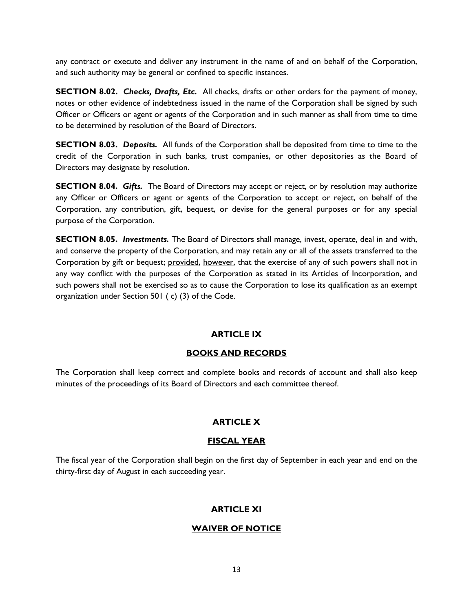any contract or execute and deliver any instrument in the name of and on behalf of the Corporation, and such authority may be general or confined to specific instances.

**SECTION 8.02.** *Checks, Drafts, Etc.* All checks, drafts or other orders for the payment of money, notes or other evidence of indebtedness issued in the name of the Corporation shall be signed by such Officer or Officers or agent or agents of the Corporation and in such manner as shall from time to time to be determined by resolution of the Board of Directors.

**SECTION 8.03.** *Deposits.* All funds of the Corporation shall be deposited from time to time to the credit of the Corporation in such banks, trust companies, or other depositories as the Board of Directors may designate by resolution.

**SECTION 8.04.** *Gifts.* The Board of Directors may accept or reject, or by resolution may authorize any Officer or Officers or agent or agents of the Corporation to accept or reject, on behalf of the Corporation, any contribution, gift, bequest, or devise for the general purposes or for any special purpose of the Corporation.

**SECTION 8.05.** *Investments.* The Board of Directors shall manage, invest, operate, deal in and with, and conserve the property of the Corporation, and may retain any or all of the assets transferred to the Corporation by gift or bequest; provided, however, that the exercise of any of such powers shall not in any way conflict with the purposes of the Corporation as stated in its Articles of Incorporation, and such powers shall not be exercised so as to cause the Corporation to lose its qualification as an exempt organization under Section 501 ( c) (3) of the Code.

# **ARTICLE IX**

## **BOOKS AND RECORDS**

The Corporation shall keep correct and complete books and records of account and shall also keep minutes of the proceedings of its Board of Directors and each committee thereof.

## **ARTICLE X**

## **FISCAL YEAR**

The fiscal year of the Corporation shall begin on the first day of September in each year and end on the thirty-first day of August in each succeeding year.

# **ARTICLE XI**

# **WAIVER OF NOTICE**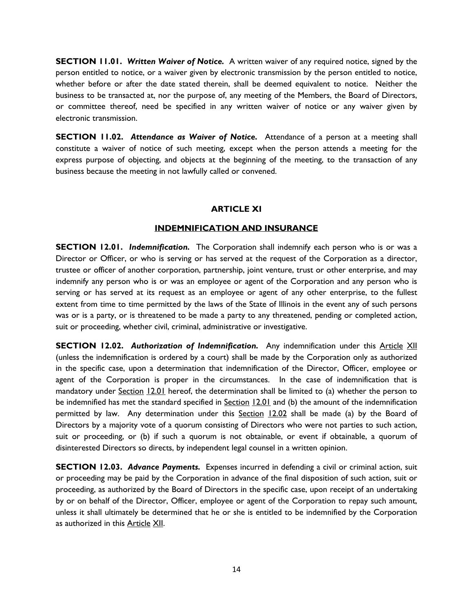**SECTION 11.01.** *Written Waiver of Notice.* A written waiver of any required notice, signed by the person entitled to notice, or a waiver given by electronic transmission by the person entitled to notice, whether before or after the date stated therein, shall be deemed equivalent to notice. Neither the business to be transacted at, nor the purpose of, any meeting of the Members, the Board of Directors, or committee thereof, need be specified in any written waiver of notice or any waiver given by electronic transmission.

**SECTION 11.02.** *Attendance as Waiver of Notice.* Attendance of a person at a meeting shall constitute a waiver of notice of such meeting, except when the person attends a meeting for the express purpose of objecting, and objects at the beginning of the meeting, to the transaction of any business because the meeting in not lawfully called or convened.

#### **ARTICLE XI**

#### **INDEMNIFICATION AND INSURANCE**

**SECTION 12.01.** *Indemnification*. The Corporation shall indemnify each person who is or was a Director or Officer, or who is serving or has served at the request of the Corporation as a director, trustee or officer of another corporation, partnership, joint venture, trust or other enterprise, and may indemnify any person who is or was an employee or agent of the Corporation and any person who is serving or has served at its request as an employee or agent of any other enterprise, to the fullest extent from time to time permitted by the laws of the State of Illinois in the event any of such persons was or is a party, or is threatened to be made a party to any threatened, pending or completed action, suit or proceeding, whether civil, criminal, administrative or investigative.

**SECTION 12.02. Authorization of Indemnification.** Any indemnification under this Article XII (unless the indemnification is ordered by a court) shall be made by the Corporation only as authorized in the specific case, upon a determination that indemnification of the Director, Officer, employee or agent of the Corporation is proper in the circumstances. In the case of indemnification that is mandatory under Section 12.01 hereof, the determination shall be limited to (a) whether the person to be indemnified has met the standard specified in Section 12.01 and (b) the amount of the indemnification permitted by law. Any determination under this Section 12.02 shall be made (a) by the Board of Directors by a majority vote of a quorum consisting of Directors who were not parties to such action, suit or proceeding, or (b) if such a quorum is not obtainable, or event if obtainable, a quorum of disinterested Directors so directs, by independent legal counsel in a written opinion.

**SECTION 12.03.** *Advance Payments.* Expenses incurred in defending a civil or criminal action, suit or proceeding may be paid by the Corporation in advance of the final disposition of such action, suit or proceeding, as authorized by the Board of Directors in the specific case, upon receipt of an undertaking by or on behalf of the Director, Officer, employee or agent of the Corporation to repay such amount, unless it shall ultimately be determined that he or she is entitled to be indemnified by the Corporation as authorized in this Article XII.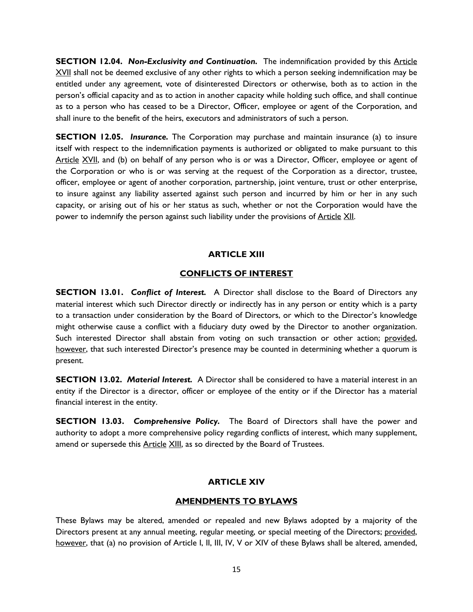**SECTION 12.04. Non-Exclusivity and Continuation.** The indemnification provided by this Article XVII shall not be deemed exclusive of any other rights to which a person seeking indemnification may be entitled under any agreement, vote of disinterested Directors or otherwise, both as to action in the person's official capacity and as to action in another capacity while holding such office, and shall continue as to a person who has ceased to be a Director, Officer, employee or agent of the Corporation, and shall inure to the benefit of the heirs, executors and administrators of such a person.

**SECTION 12.05.** *Insurance*. The Corporation may purchase and maintain insurance (a) to insure itself with respect to the indemnification payments is authorized or obligated to make pursuant to this Article XVII, and (b) on behalf of any person who is or was a Director, Officer, employee or agent of the Corporation or who is or was serving at the request of the Corporation as a director, trustee, officer, employee or agent of another corporation, partnership, joint venture, trust or other enterprise, to insure against any liability asserted against such person and incurred by him or her in any such capacity, or arising out of his or her status as such, whether or not the Corporation would have the power to indemnify the person against such liability under the provisions of Article XII.

## **ARTICLE XIII**

## **CONFLICTS OF INTEREST**

**SECTION 13.01.** *Conflict of Interest.* A Director shall disclose to the Board of Directors any material interest which such Director directly or indirectly has in any person or entity which is a party to a transaction under consideration by the Board of Directors, or which to the Director's knowledge might otherwise cause a conflict with a fiduciary duty owed by the Director to another organization. Such interested Director shall abstain from voting on such transaction or other action; provided, however, that such interested Director's presence may be counted in determining whether a quorum is present.

**SECTION 13.02.** *Material Interest.* A Director shall be considered to have a material interest in an entity if the Director is a director, officer or employee of the entity or if the Director has a material financial interest in the entity.

**SECTION 13.03.** *Comprehensive Policy.* The Board of Directors shall have the power and authority to adopt a more comprehensive policy regarding conflicts of interest, which many supplement, amend or supersede this Article XIII, as so directed by the Board of Trustees.

# **ARTICLE XIV**

## **AMENDMENTS TO BYLAWS**

These Bylaws may be altered, amended or repealed and new Bylaws adopted by a majority of the Directors present at any annual meeting, regular meeting, or special meeting of the Directors; provided, however, that (a) no provision of Article I, II, III, IV, V or XIV of these Bylaws shall be altered, amended,